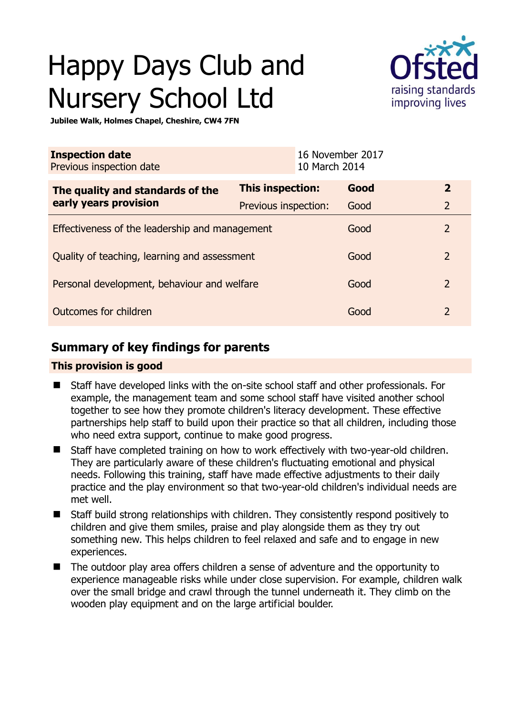# Happy Days Club and Nursery School Ltd



**Jubilee Walk, Holmes Chapel, Cheshire, CW4 7FN** 

| <b>Inspection date</b><br>Previous inspection date        |                      | 16 November 2017<br>10 March 2014 |      |                |
|-----------------------------------------------------------|----------------------|-----------------------------------|------|----------------|
| The quality and standards of the<br>early years provision | This inspection:     |                                   | Good | $\overline{2}$ |
|                                                           | Previous inspection: |                                   | Good | $\overline{2}$ |
| Effectiveness of the leadership and management            |                      |                                   | Good | $\overline{2}$ |
| Quality of teaching, learning and assessment              |                      |                                   | Good | $\overline{2}$ |
| Personal development, behaviour and welfare               |                      |                                   | Good | $\overline{2}$ |
| Outcomes for children                                     |                      |                                   | Good | $\overline{2}$ |

# **Summary of key findings for parents**

#### **This provision is good**

- Staff have developed links with the on-site school staff and other professionals. For example, the management team and some school staff have visited another school together to see how they promote children's literacy development. These effective partnerships help staff to build upon their practice so that all children, including those who need extra support, continue to make good progress.
- Staff have completed training on how to work effectively with two-year-old children. They are particularly aware of these children's fluctuating emotional and physical needs. Following this training, staff have made effective adjustments to their daily practice and the play environment so that two-year-old children's individual needs are met well.
- Staff build strong relationships with children. They consistently respond positively to children and give them smiles, praise and play alongside them as they try out something new. This helps children to feel relaxed and safe and to engage in new experiences.
- The outdoor play area offers children a sense of adventure and the opportunity to experience manageable risks while under close supervision. For example, children walk over the small bridge and crawl through the tunnel underneath it. They climb on the wooden play equipment and on the large artificial boulder.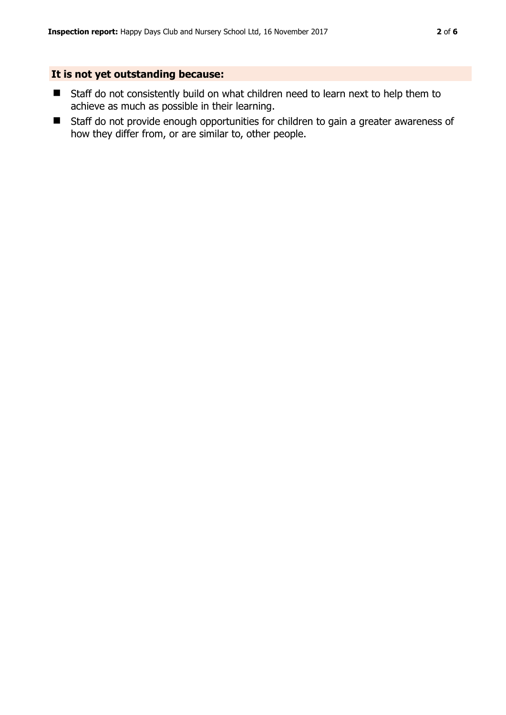#### **It is not yet outstanding because:**

- Staff do not consistently build on what children need to learn next to help them to achieve as much as possible in their learning.
- Staff do not provide enough opportunities for children to gain a greater awareness of how they differ from, or are similar to, other people.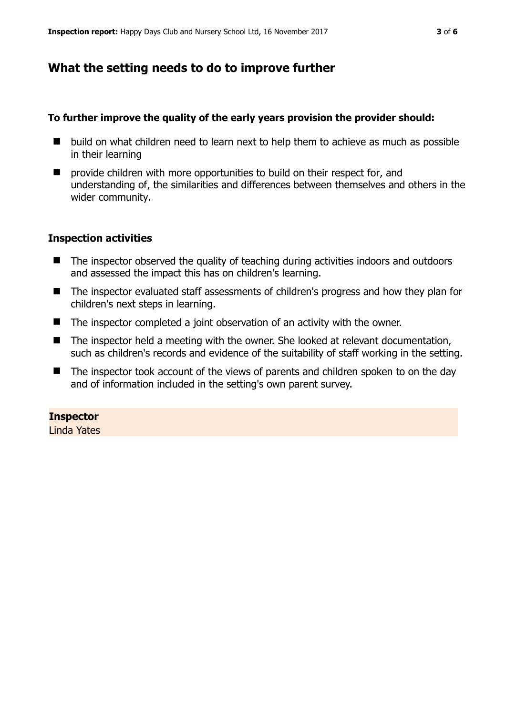### **What the setting needs to do to improve further**

#### **To further improve the quality of the early years provision the provider should:**

- build on what children need to learn next to help them to achieve as much as possible in their learning
- **P** provide children with more opportunities to build on their respect for, and understanding of, the similarities and differences between themselves and others in the wider community.

#### **Inspection activities**

- The inspector observed the quality of teaching during activities indoors and outdoors and assessed the impact this has on children's learning.
- The inspector evaluated staff assessments of children's progress and how they plan for children's next steps in learning.
- The inspector completed a joint observation of an activity with the owner.
- The inspector held a meeting with the owner. She looked at relevant documentation, such as children's records and evidence of the suitability of staff working in the setting.
- The inspector took account of the views of parents and children spoken to on the day and of information included in the setting's own parent survey.

#### **Inspector**

Linda Yates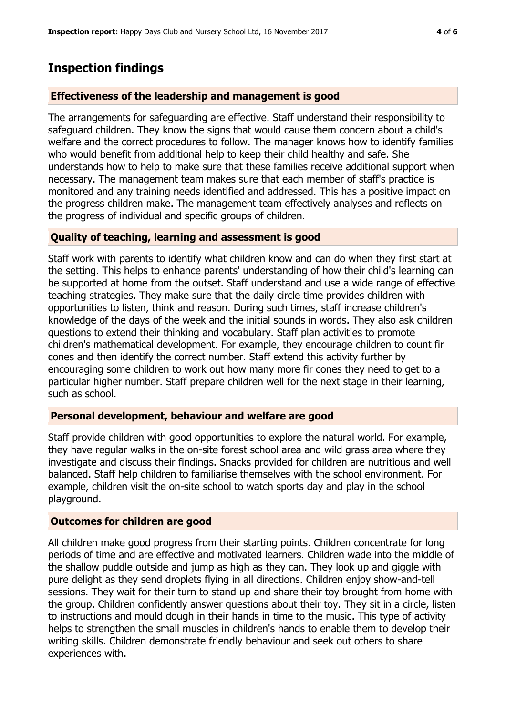## **Inspection findings**

#### **Effectiveness of the leadership and management is good**

The arrangements for safeguarding are effective. Staff understand their responsibility to safeguard children. They know the signs that would cause them concern about a child's welfare and the correct procedures to follow. The manager knows how to identify families who would benefit from additional help to keep their child healthy and safe. She understands how to help to make sure that these families receive additional support when necessary. The management team makes sure that each member of staff's practice is monitored and any training needs identified and addressed. This has a positive impact on the progress children make. The management team effectively analyses and reflects on the progress of individual and specific groups of children.

#### **Quality of teaching, learning and assessment is good**

Staff work with parents to identify what children know and can do when they first start at the setting. This helps to enhance parents' understanding of how their child's learning can be supported at home from the outset. Staff understand and use a wide range of effective teaching strategies. They make sure that the daily circle time provides children with opportunities to listen, think and reason. During such times, staff increase children's knowledge of the days of the week and the initial sounds in words. They also ask children questions to extend their thinking and vocabulary. Staff plan activities to promote children's mathematical development. For example, they encourage children to count fir cones and then identify the correct number. Staff extend this activity further by encouraging some children to work out how many more fir cones they need to get to a particular higher number. Staff prepare children well for the next stage in their learning, such as school.

#### **Personal development, behaviour and welfare are good**

Staff provide children with good opportunities to explore the natural world. For example, they have regular walks in the on-site forest school area and wild grass area where they investigate and discuss their findings. Snacks provided for children are nutritious and well balanced. Staff help children to familiarise themselves with the school environment. For example, children visit the on-site school to watch sports day and play in the school playground.

#### **Outcomes for children are good**

All children make good progress from their starting points. Children concentrate for long periods of time and are effective and motivated learners. Children wade into the middle of the shallow puddle outside and jump as high as they can. They look up and giggle with pure delight as they send droplets flying in all directions. Children enjoy show-and-tell sessions. They wait for their turn to stand up and share their toy brought from home with the group. Children confidently answer questions about their toy. They sit in a circle, listen to instructions and mould dough in their hands in time to the music. This type of activity helps to strengthen the small muscles in children's hands to enable them to develop their writing skills. Children demonstrate friendly behaviour and seek out others to share experiences with.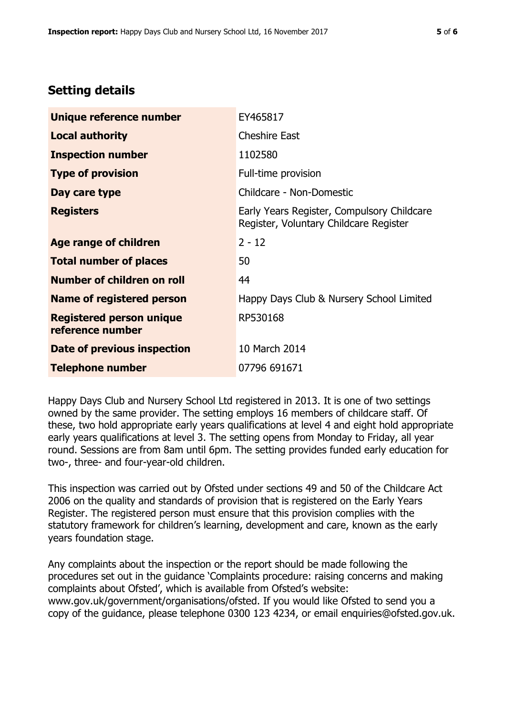# **Setting details**

| Unique reference number                             | EY465817                                                                             |  |
|-----------------------------------------------------|--------------------------------------------------------------------------------------|--|
| <b>Local authority</b>                              | <b>Cheshire East</b>                                                                 |  |
| <b>Inspection number</b>                            | 1102580                                                                              |  |
| <b>Type of provision</b>                            | Full-time provision                                                                  |  |
| Day care type                                       | Childcare - Non-Domestic                                                             |  |
| <b>Registers</b>                                    | Early Years Register, Compulsory Childcare<br>Register, Voluntary Childcare Register |  |
| Age range of children                               | $2 - 12$                                                                             |  |
| <b>Total number of places</b>                       | 50                                                                                   |  |
| Number of children on roll                          | 44                                                                                   |  |
| Name of registered person                           | Happy Days Club & Nursery School Limited                                             |  |
| <b>Registered person unique</b><br>reference number | RP530168                                                                             |  |
| <b>Date of previous inspection</b>                  | 10 March 2014                                                                        |  |
| <b>Telephone number</b>                             | 07796 691671                                                                         |  |

Happy Days Club and Nursery School Ltd registered in 2013. It is one of two settings owned by the same provider. The setting employs 16 members of childcare staff. Of these, two hold appropriate early years qualifications at level 4 and eight hold appropriate early years qualifications at level 3. The setting opens from Monday to Friday, all year round. Sessions are from 8am until 6pm. The setting provides funded early education for two-, three- and four-year-old children.

This inspection was carried out by Ofsted under sections 49 and 50 of the Childcare Act 2006 on the quality and standards of provision that is registered on the Early Years Register. The registered person must ensure that this provision complies with the statutory framework for children's learning, development and care, known as the early years foundation stage.

Any complaints about the inspection or the report should be made following the procedures set out in the guidance 'Complaints procedure: raising concerns and making complaints about Ofsted', which is available from Ofsted's website: www.gov.uk/government/organisations/ofsted. If you would like Ofsted to send you a copy of the guidance, please telephone 0300 123 4234, or email enquiries@ofsted.gov.uk.